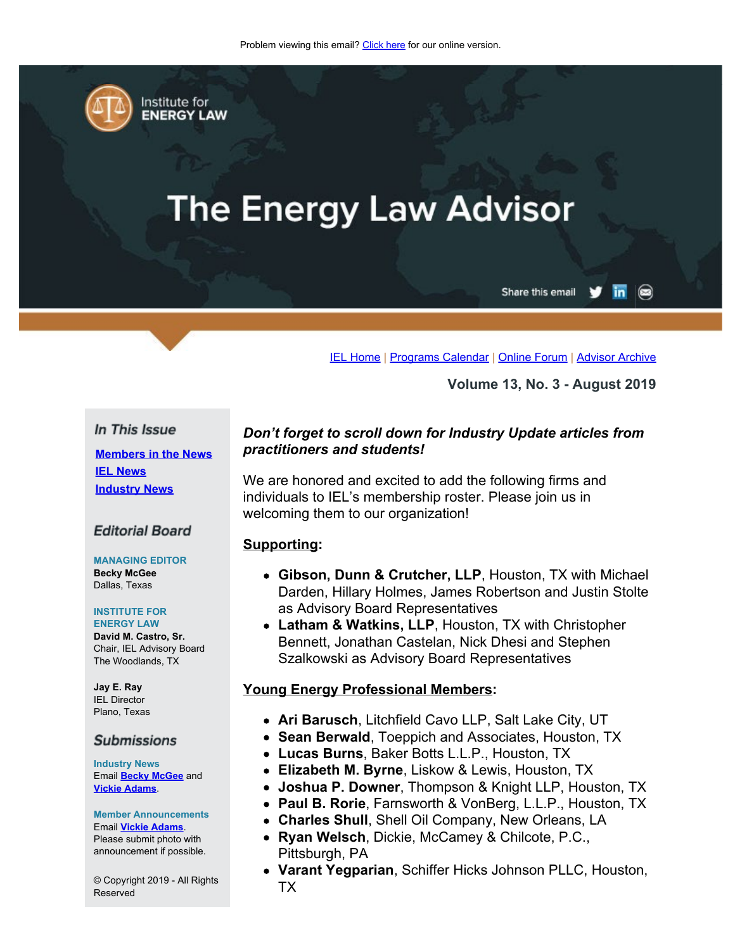<span id="page-0-0"></span>

Institute for **ENERGY LAW** 

# **The Energy Law Advisor**

Share this email in

 $\circledcirc$ 

[IEL Home](http://www.cailaw.org/institute-for-energy-law/index.html?utm_source=Informz&utm_medium=Email&utm_campaign=Event+Details) | [Programs Calendar](http://www.cailaw.org/institute-for-energy-law/programs-calendar.html?utm_source=Informz&utm_medium=Email&utm_campaign=Event+Details) | [Online Forum](https://www.linkedin.com/groups?gid=2330688&trk=myg_ugrp_ovr) | [Advisor Archive](http://www.cailaw.org/institute-for-energy-law/publications/energy-law-advisor.html?utm_source=Informz&utm_medium=Email&utm_campaign=Event+Details)

**Volume 13, No. 3 - August 2019**

#### In This Issue

**[Members in the News](#page-0-0) [IEL News](#page-0-0) [Industry News](#page-0-0)**

#### **Editorial Board**

**MANAGING EDITOR Becky McGee** Dallas, Texas

#### **INSTITUTE FOR ENERGY LAW**

**David M. Castro, Sr.** Chair, IEL Advisory Board The Woodlands, TX

**Jay E. Ray** IEL Director Plano, Texas

#### **Submissions**

**Industry News** Email **[Becky McGee](mailto:beckymcgee@charter.net)** and **[Vickie Adams](mailto:vadams@cailaw.org)**.

**Member Announcements** Email **[Vickie Adams](mailto:vadams@cailaw.org)**. Please submit photo with announcement if possible.

© Copyright 2019 - All Rights Reserved

## *Don't forget to scroll down for Industry Update articles from practitioners and students!*

We are honored and excited to add the following firms and individuals to IEL's membership roster. Please join us in welcoming them to our organization!

#### **Supporting:**

- **Gibson, Dunn & Crutcher, LLP**, Houston, TX with Michael Darden, Hillary Holmes, James Robertson and Justin Stolte as Advisory Board Representatives
- **Latham & Watkins, LLP**, Houston, TX with Christopher Bennett, Jonathan Castelan, Nick Dhesi and Stephen Szalkowski as Advisory Board Representatives

#### **Young Energy Professional Members:**

- **Ari Barusch**, Litchfield Cavo LLP, Salt Lake City, UT
- **Sean Berwald**, Toeppich and Associates, Houston, TX
- **Lucas Burns**, Baker Botts L.L.P., Houston, TX
- **Elizabeth M. Byrne**, Liskow & Lewis, Houston, TX
- **Joshua P. Downer**, Thompson & Knight LLP, Houston, TX
- **Paul B. Rorie**, Farnsworth & VonBerg, L.L.P., Houston, TX
- **Charles Shull**, Shell Oil Company, New Orleans, LA
- **Ryan Welsch**, Dickie, McCamey & Chilcote, P.C., Pittsburgh, PA
- **Varant Yegparian**, Schiffer Hicks Johnson PLLC, Houston, TX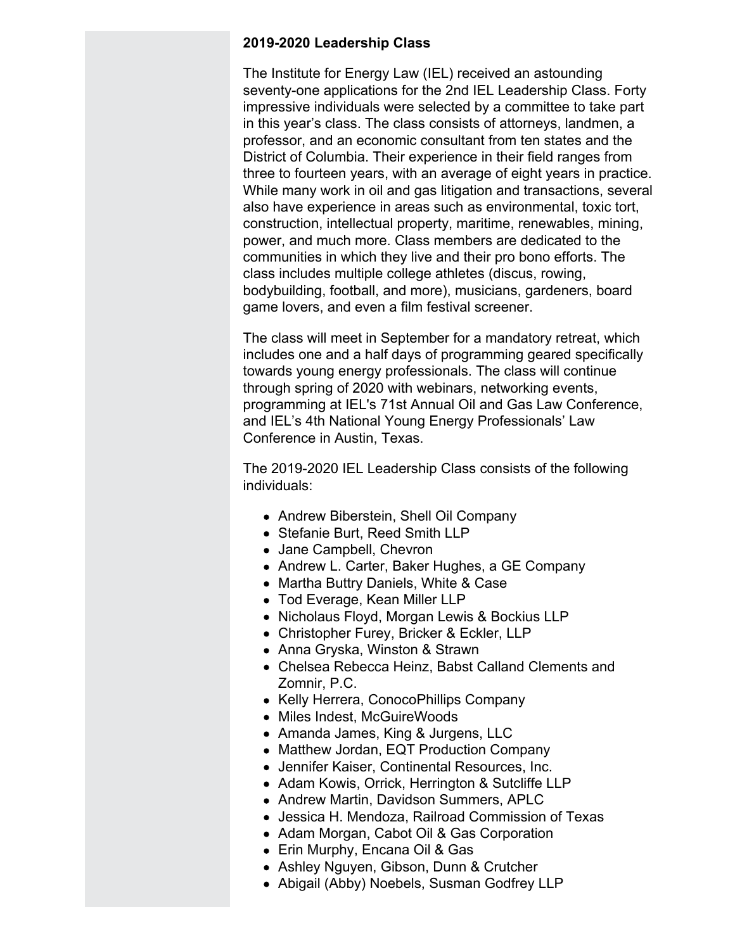## **2019-2020 Leadership Class**

The Institute for Energy Law (IEL) received an astounding seventy-one applications for the 2nd IEL Leadership Class. Forty impressive individuals were selected by a committee to take part in this year's class. The class consists of attorneys, landmen, a professor, and an economic consultant from ten states and the District of Columbia. Their experience in their field ranges from three to fourteen years, with an average of eight years in practice. While many work in oil and gas litigation and transactions, several also have experience in areas such as environmental, toxic tort, construction, intellectual property, maritime, renewables, mining, power, and much more. Class members are dedicated to the communities in which they live and their pro bono efforts. The class includes multiple college athletes (discus, rowing, bodybuilding, football, and more), musicians, gardeners, board game lovers, and even a film festival screener.

The class will meet in September for a mandatory retreat, which includes one and a half days of programming geared specifically towards young energy professionals. The class will continue through spring of 2020 with webinars, networking events, programming at IEL's 71st Annual Oil and Gas Law Conference, and IEL's 4th National Young Energy Professionals' Law Conference in Austin, Texas.

The 2019-2020 IEL Leadership Class consists of the following individuals:

- Andrew Biberstein, Shell Oil Company
- Stefanie Burt, Reed Smith LLP
- Jane Campbell, Chevron
- Andrew L. Carter, Baker Hughes, a GE Company
- Martha Buttry Daniels, White & Case
- Tod Everage, Kean Miller LLP
- Nicholaus Floyd, Morgan Lewis & Bockius LLP
- Christopher Furey, Bricker & Eckler, LLP
- Anna Gryska, Winston & Strawn
- Chelsea Rebecca Heinz, Babst Calland Clements and Zomnir, P.C.
- Kelly Herrera, ConocoPhillips Company
- Miles Indest, McGuireWoods
- Amanda James, King & Jurgens, LLC
- Matthew Jordan, EQT Production Company
- Jennifer Kaiser, Continental Resources, Inc.
- Adam Kowis, Orrick, Herrington & Sutcliffe LLP
- Andrew Martin, Davidson Summers, APLC
- Jessica H. Mendoza, Railroad Commission of Texas
- Adam Morgan, Cabot Oil & Gas Corporation
- Erin Murphy, Encana Oil & Gas
- Ashley Nguyen, Gibson, Dunn & Crutcher
- Abigail (Abby) Noebels, Susman Godfrey LLP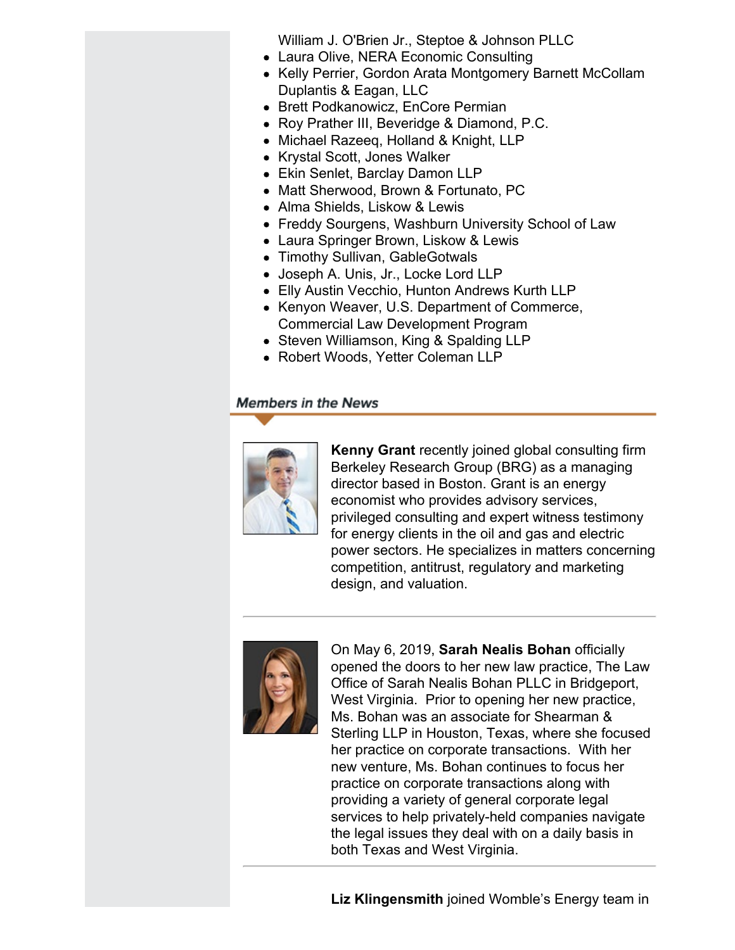William J. O'Brien Jr., Steptoe & Johnson PLLC

- Laura Olive, NERA Economic Consulting
- Kelly Perrier, Gordon Arata Montgomery Barnett McCollam Duplantis & Eagan, LLC
- Brett Podkanowicz, EnCore Permian
- Roy Prather III, Beveridge & Diamond, P.C.
- Michael Razeeg, Holland & Knight, LLP
- Krystal Scott, Jones Walker
- Ekin Senlet, Barclay Damon LLP
- Matt Sherwood, Brown & Fortunato, PC
- Alma Shields, Liskow & Lewis
- Freddy Sourgens, Washburn University School of Law
- Laura Springer Brown, Liskow & Lewis
- Timothy Sullivan, GableGotwals
- Joseph A. Unis, Jr., Locke Lord LLP
- Elly Austin Vecchio, Hunton Andrews Kurth LLP
- Kenyon Weaver, U.S. Department of Commerce, Commercial Law Development Program
- Steven Williamson, King & Spalding LLP
- Robert Woods, Yetter Coleman LLP

# **Members in the News**



**Kenny Grant** recently joined global consulting firm Berkeley Research Group (BRG) as a managing director based in Boston. Grant is an energy economist who provides advisory services, privileged consulting and expert witness testimony for energy clients in the oil and gas and electric power sectors. He specializes in matters concerning competition, antitrust, regulatory and marketing design, and valuation.



On May 6, 2019, **Sarah Nealis Bohan** officially opened the doors to her new law practice, The Law Office of Sarah Nealis Bohan PLLC in Bridgeport, West Virginia. Prior to opening her new practice, Ms. Bohan was an associate for Shearman & Sterling LLP in Houston, Texas, where she focused her practice on corporate transactions. With her new venture, Ms. Bohan continues to focus her practice on corporate transactions along with providing a variety of general corporate legal services to help privately-held companies navigate the legal issues they deal with on a daily basis in both Texas and West Virginia.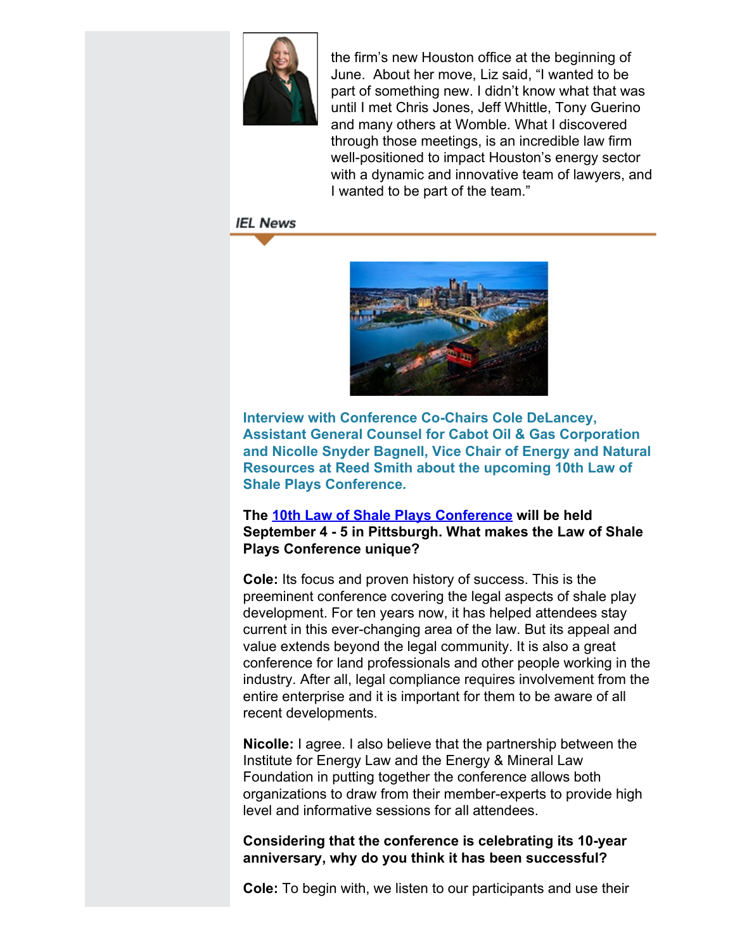

the firm's new Houston office at the beginning of June. About her move, Liz said, "I wanted to be part of something new. I didn't know what that was until I met Chris Jones, Jeff Whittle, Tony Guerino and many others at Womble. What I discovered through those meetings, is an incredible law firm well-positioned to impact Houston's energy sector with a dynamic and innovative team of lawyers, and I wanted to be part of the team."

# **IEL News**



**Interview with Conference Co-Chairs Cole DeLancey, Assistant General Counsel for Cabot Oil & Gas Corporation and Nicolle Snyder Bagnell, Vice Chair of Energy and Natural Resources at Reed Smith about the upcoming 10th Law of Shale Plays Conference***.*

# **The 10th [Law of Shale Plays Conference](http://www.cailaw.org/institute-for-energy-law/events/2019/law-of-shale-plays.html?utm_source=Informz&utm_medium=Email&utm_campaign=Event+Details) will be held September 4 - 5 in Pittsburgh. What makes the Law of Shale Plays Conference unique?**

**Cole:** Its focus and proven history of success. This is the preeminent conference covering the legal aspects of shale play development. For ten years now, it has helped attendees stay current in this ever-changing area of the law. But its appeal and value extends beyond the legal community. It is also a great conference for land professionals and other people working in the industry. After all, legal compliance requires involvement from the entire enterprise and it is important for them to be aware of all recent developments.

**Nicolle:** I agree. I also believe that the partnership between the Institute for Energy Law and the Energy & Mineral Law Foundation in putting together the conference allows both organizations to draw from their member-experts to provide high level and informative sessions for all attendees.

# **Considering that the conference is celebrating its 10-year anniversary, why do you think it has been successful?**

**Cole:** To begin with, we listen to our participants and use their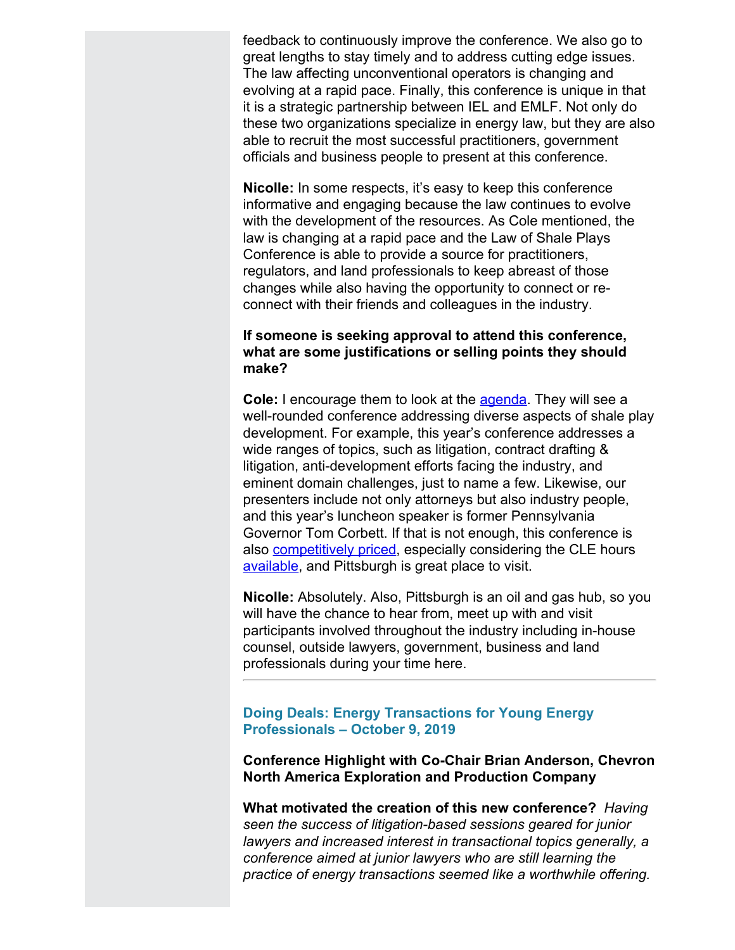feedback to continuously improve the conference. We also go to great lengths to stay timely and to address cutting edge issues. The law affecting unconventional operators is changing and evolving at a rapid pace. Finally, this conference is unique in that it is a strategic partnership between IEL and EMLF. Not only do these two organizations specialize in energy law, but they are also able to recruit the most successful practitioners, government officials and business people to present at this conference.

**Nicolle:** In some respects, it's easy to keep this conference informative and engaging because the law continues to evolve with the development of the resources. As Cole mentioned, the law is changing at a rapid pace and the Law of Shale Plays Conference is able to provide a source for practitioners, regulators, and land professionals to keep abreast of those changes while also having the opportunity to connect or reconnect with their friends and colleagues in the industry.

### **If someone is seeking approval to attend this conference, what are some justifications or selling points they should make?**

**Cole:** I encourage them to look at the **[agenda](http://www.cailaw.org/media/files/IEL/EventBrochures/2019/shale.pdf)**. They will see a well-rounded conference addressing diverse aspects of shale play development. For example, this year's conference addresses a wide ranges of topics, such as litigation, contract drafting & litigation, anti-development efforts facing the industry, and eminent domain challenges, just to name a few. Likewise, our presenters include not only attorneys but also industry people, and this year's luncheon speaker is former Pennsylvania Governor Tom Corbett. If that is not enough, this conference is also [competitively priced](https://www.cailaw.org/eventRegistration.html?e=2178&utm_source=Informz&utm_medium=Email&utm_campaign=Event+Details), especially considering the CLE hours [available,](http://www.cailaw.org/institute-for-energy-law/events/2019/law-of-shale-plays.html?utm_source=Informz&utm_medium=Email&utm_campaign=Event+Details) and Pittsburgh is great place to visit.

**Nicolle:** Absolutely. Also, Pittsburgh is an oil and gas hub, so you will have the chance to hear from, meet up with and visit participants involved throughout the industry including in-house counsel, outside lawyers, government, business and land professionals during your time here.

# **Doing Deals: Energy Transactions for Young Energy Professionals – October 9, 2019**

**Conference Highlight with Co-Chair Brian Anderson, Chevron North America Exploration and Production Company**

**What motivated the creation of this new conference?** *Having seen the success of litigation-based sessions geared for junior lawyers and increased interest in transactional topics generally, a conference aimed at junior lawyers who are still learning the practice of energy transactions seemed like a worthwhile offering.*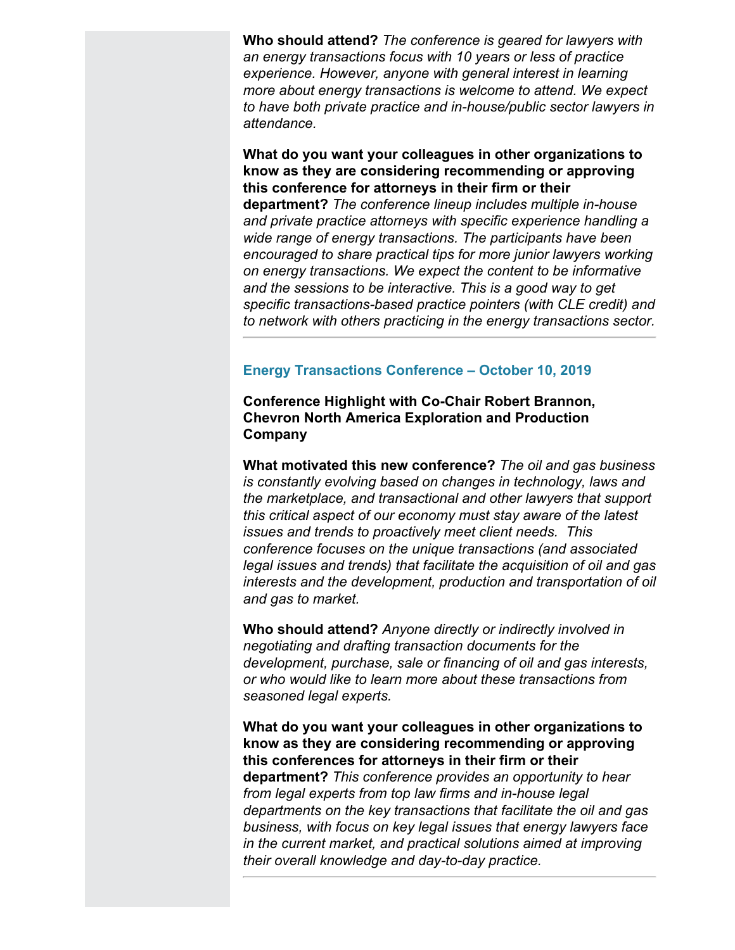**Who should attend?** *The conference is geared for lawyers with an energy transactions focus with 10 years or less of practice experience. However, anyone with general interest in learning more about energy transactions is welcome to attend. We expect to have both private practice and in-house/public sector lawyers in attendance.*

**What do you want your colleagues in other organizations to know as they are considering recommending or approving this conference for attorneys in their firm or their department?** *The conference lineup includes multiple in-house and private practice attorneys with specific experience handling a wide range of energy transactions. The participants have been encouraged to share practical tips for more junior lawyers working on energy transactions. We expect the content to be informative and the sessions to be interactive. This is a good way to get specific transactions-based practice pointers (with CLE credit) and to network with others practicing in the energy transactions sector.*

# **Energy Transactions Conference – October 10, 2019**

**Conference Highlight with Co-Chair Robert Brannon, Chevron North America Exploration and Production Company**

**What motivated this new conference?** *The oil and gas business is constantly evolving based on changes in technology, laws and the marketplace, and transactional and other lawyers that support this critical aspect of our economy must stay aware of the latest issues and trends to proactively meet client needs. This conference focuses on the unique transactions (and associated legal issues and trends) that facilitate the acquisition of oil and gas interests and the development, production and transportation of oil and gas to market.*

**Who should attend?** *Anyone directly or indirectly involved in negotiating and drafting transaction documents for the development, purchase, sale or financing of oil and gas interests, or who would like to learn more about these transactions from seasoned legal experts.*

**What do you want your colleagues in other organizations to know as they are considering recommending or approving this conferences for attorneys in their firm or their department?** *This conference provides an opportunity to hear from legal experts from top law firms and in-house legal departments on the key transactions that facilitate the oil and gas business, with focus on key legal issues that energy lawyers face in the current market, and practical solutions aimed at improving their overall knowledge and day-to-day practice.*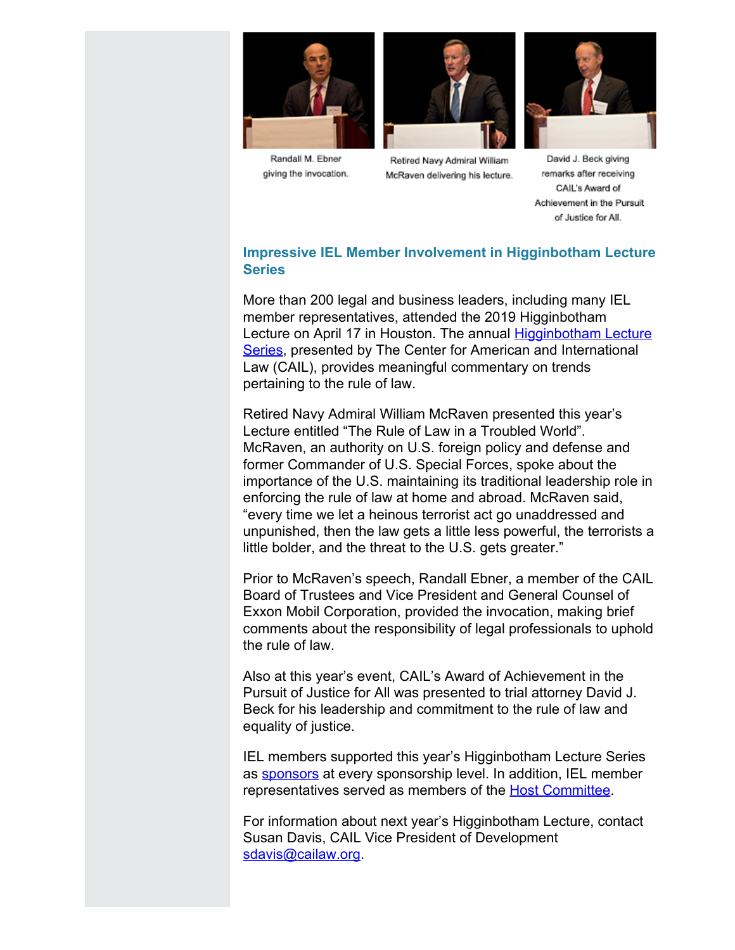





Retired Navy Admiral William McRaven delivering his lecture.



David J. Beck giving remarks after receiving CAIL's Award of Achievement in the Pursuit of Justice for All.

# **Impressive IEL Member Involvement in Higginbotham Lecture Series**

More than 200 legal and business leaders, including many IEL member representatives, attended the 2019 Higginbotham Lecture on April 17 in Houston. The annual **Higginbotham Lecture** [Series,](http://www.cailaw.org/Other-Programs/Events/2019/higginbotham-lecture-series.html?utm_source=Informz&utm_medium=Email&utm_campaign=Event+Details) presented by The Center for American and International Law (CAIL), provides meaningful commentary on trends pertaining to the rule of law.

Retired Navy Admiral William McRaven presented this year's Lecture entitled "The Rule of Law in a Troubled World". McRaven, an authority on U.S. foreign policy and defense and former Commander of U.S. Special Forces, spoke about the importance of the U.S. maintaining its traditional leadership role in enforcing the rule of law at home and abroad. McRaven said, "every time we let a heinous terrorist act go unaddressed and unpunished, then the law gets a little less powerful, the terrorists a little bolder, and the threat to the U.S. gets greater."

Prior to McRaven's speech, Randall Ebner, a member of the CAIL Board of Trustees and Vice President and General Counsel of Exxon Mobil Corporation, provided the invocation, making brief comments about the responsibility of legal professionals to uphold the rule of law.

Also at this year's event, CAIL's Award of Achievement in the Pursuit of Justice for All was presented to trial attorney David J. Beck for his leadership and commitment to the rule of law and equality of justice.

IEL members supported this year's Higginbotham Lecture Series as [sponsors](http://www.cailaw.org/Other-Programs/Events/2019/higginbotham-lecture-series.html?utm_source=Informz&utm_medium=Email&utm_campaign=Event+Details) at every sponsorship level. In addition, IEL member representatives served as members of the **[Host Committee](http://www.cailaw.org/News/2019/higgibotham-host-committee.html?utm_source=Informz&utm_medium=Email&utm_campaign=Event+Details)**.

For information about next year's Higginbotham Lecture, contact Susan Davis, CAIL Vice President of Development [sdavis@cailaw.org](mailto:sdavis@cailaw.org).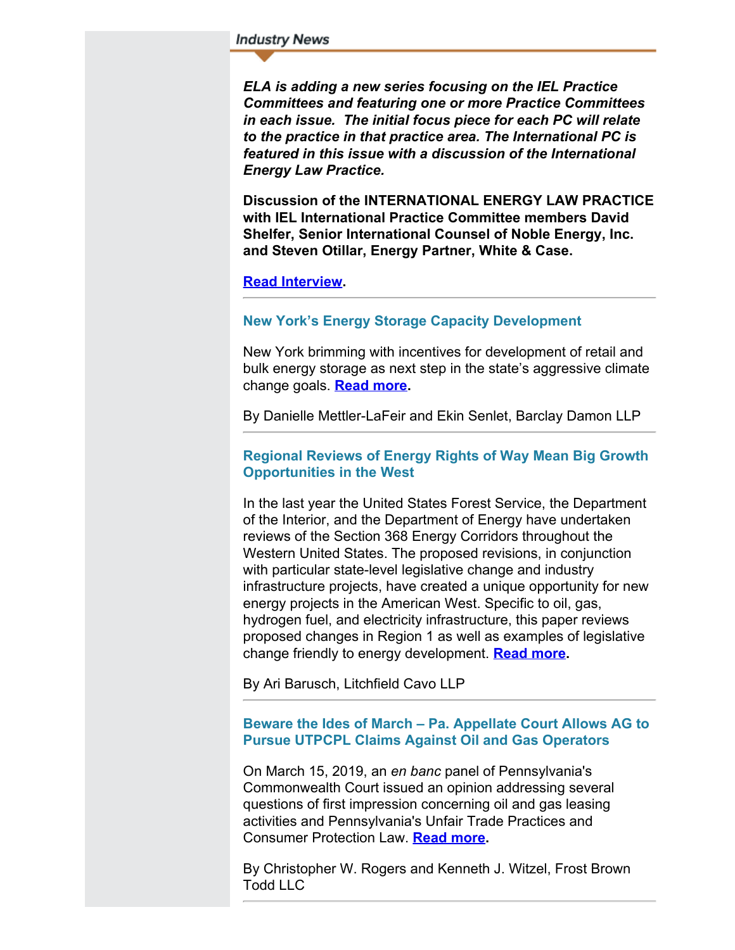#### **Industry News**

*ELA is adding a new series focusing on the IEL Practice Committees and featuring one or more Practice Committees in each issue. The initial focus piece for each PC will relate to the practice in that practice area. The International PC is featured in this issue with a discussion of the International Energy Law Practice.*

**Discussion of the INTERNATIONAL ENERGY LAW PRACTICE with IEL International Practice Committee members David Shelfer, Senior International Counsel of Noble Energy, Inc. and Steven Otillar, Energy Partner, White & Case.**

#### **[Read Interview](http://www.cailaw.org/media/files/IEL/Publications/2019/internationalpc-vol13no3.pdf).**

#### **New York's Energy Storage Capacity Development**

New York brimming with incentives for development of retail and bulk energy storage as next step in the state's aggressive climate change goals. **[Read more](http://www.cailaw.org/media/files/IEL/Publications/2019/mettler-ladeir-vol13no3.pdf).**

By Danielle Mettler-LaFeir and Ekin Senlet, Barclay Damon LLP

#### **Regional Reviews of Energy Rights of Way Mean Big Growth Opportunities in the West**

In the last year the United States Forest Service, the Department of the Interior, and the Department of Energy have undertaken reviews of the Section 368 Energy Corridors throughout the Western United States. The proposed revisions, in conjunction with particular state-level legislative change and industry infrastructure projects, have created a unique opportunity for new energy projects in the American West. Specific to oil, gas, hydrogen fuel, and electricity infrastructure, this paper reviews proposed changes in Region 1 as well as examples of legislative change friendly to energy development. **[Read more](http://www.cailaw.org/media/files/IEL/Publications/2019/barusch-vol13no3.pdf).**

By Ari Barusch, Litchfield Cavo LLP

### **Beware the Ides of March – Pa. Appellate Court Allows AG to Pursue UTPCPL Claims Against Oil and Gas Operators**

On March 15, 2019, an *en banc* panel of Pennsylvania's Commonwealth Court issued an opinion addressing several questions of first impression concerning oil and gas leasing activities and Pennsylvania's Unfair Trade Practices and Consumer Protection Law. **[Read more](http://www.cailaw.org/media/files/IEL/Publications/2019/rogers-witzel-vol13no3.pdf).**

By Christopher W. Rogers and Kenneth J. Witzel, Frost Brown Todd LLC